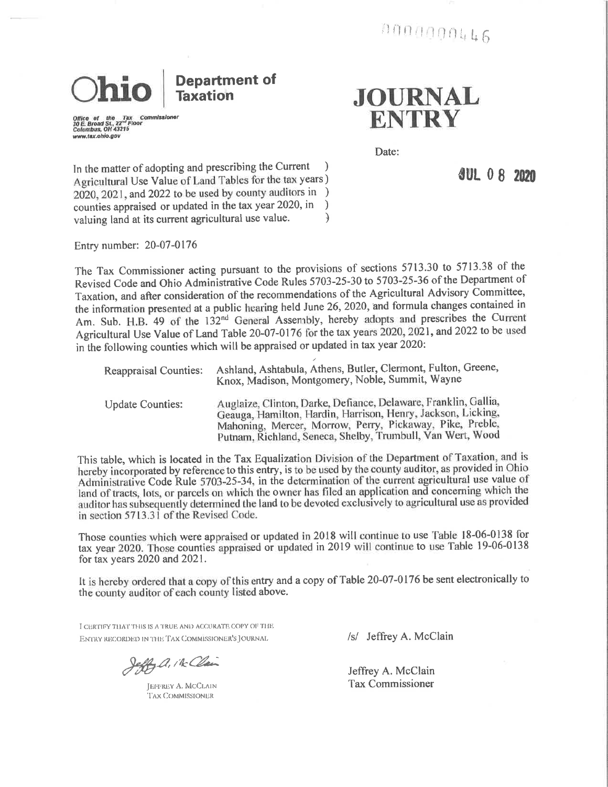**Department of** hio **Taxation** 

Office of the Tax<br>30 E. Broad St., 22<sup>54</sup> Floor<br>Columbus, OH 43215 www.tax.ohio.gov

**JOURNAL ENTRY** 

Date:

**JUL 0 8 2020** 

In the matter of adopting and prescribing the Current Agricultural Use Value of Land Tables for the tax years) 2020, 2021, and 2022 to be used by county auditors in ) counties appraised or updated in the tax year 2020, in  $\lambda$ valuing land at its current agricultural use value.  $\mathcal{F}$ 

Entry number: 20-07-0176

The Tax Commissioner acting pursuant to the provisions of sections 5713.30 to 5713.38 of the Revised Code and Ohio Administrative Code Rules 5703-25-30 to 5703-25-36 of the Department of Taxation, and after consideration of the recommendations of the Agricultural Advisory Committee, the information presented at a public hearing held June 26, 2020, and formula changes contained in Am. Sub. H.B. 49 of the 132<sup>nd</sup> General Assembly, hereby adopts and prescribes the Current Agricultural Use Value of Land Table 20-07-0176 for the tax years 2020, 2021, and 2022 to be used in the following counties which will be appraised or updated in tax year 2020:

| <b>Reappraisal Counties:</b> | Ashland, Ashtabula, Athens, Butler, Clermont, Fulton, Greene,<br>Knox, Madison, Montgomery, Noble, Summit, Wayne                                                                                                                                          |  |  |  |  |  |  |  |
|------------------------------|-----------------------------------------------------------------------------------------------------------------------------------------------------------------------------------------------------------------------------------------------------------|--|--|--|--|--|--|--|
| <b>Update Counties:</b>      | Auglaize, Clinton, Darke, Defiance, Delaware, Franklin, Gallia,<br>Geauga, Hamilton, Hardin, Harrison, Henry, Jackson, Licking,<br>Mahoning, Mercer, Morrow, Perry, Pickaway, Pike, Preble,<br>Putnam, Richland, Seneca, Shelby, Trumbull, Van Wert, Wood |  |  |  |  |  |  |  |

This table, which is located in the Tax Equalization Division of the Department of Taxation, and is hereby incorporated by reference to this entry, is to be used by the county auditor, as provided in Ohio Administrative Code Rule 5703-25-34, in the determination of the current agricultural use value of land of tracts, lots, or parcels on which the owner has filed an application and concerning which the auditor has subsequently determined the land to be devoted exclusively to agricultural use as provided in section 5713.31 of the Revised Code.

Those counties which were appraised or updated in 2018 will continue to use Table 18-06-0138 for tax year 2020. Those counties appraised or updated in 2019 will continue to use Table 19-06-0138 for tax years  $2020$  and  $2021$ .

It is hereby ordered that a copy of this entry and a copy of Table 20-07-0176 be sent electronically to the county auditor of each county listed above.

I CERTIFY THAT THIS IS A TRUE AND ACCURATE COPY OF THE ENTRY RECORDED IN THE TAX COMMISSIONER'S JOURNAL

effy a. ik Clair

**JEFFREY A. MCCLAIN** TAX COMMISSIONER

/s/ Jeffrey A. McClain

Jeffrey A. McClain **Tax Commissioner**